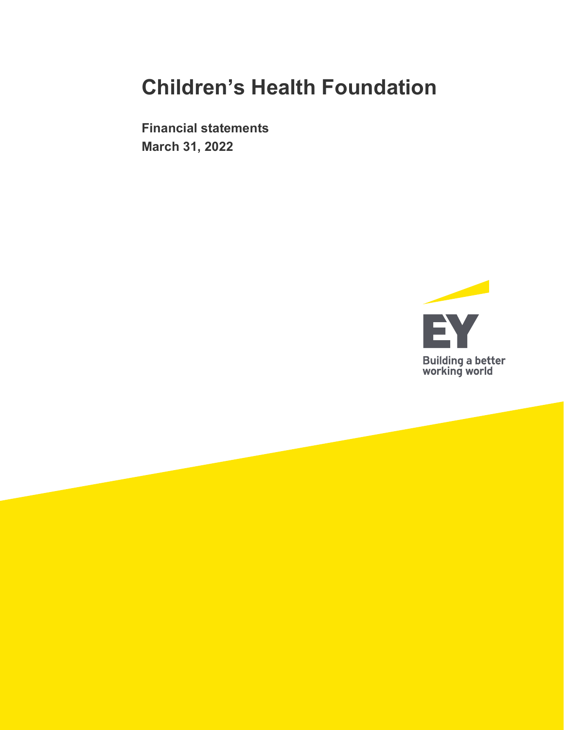**Financial statements March 31, 2022**

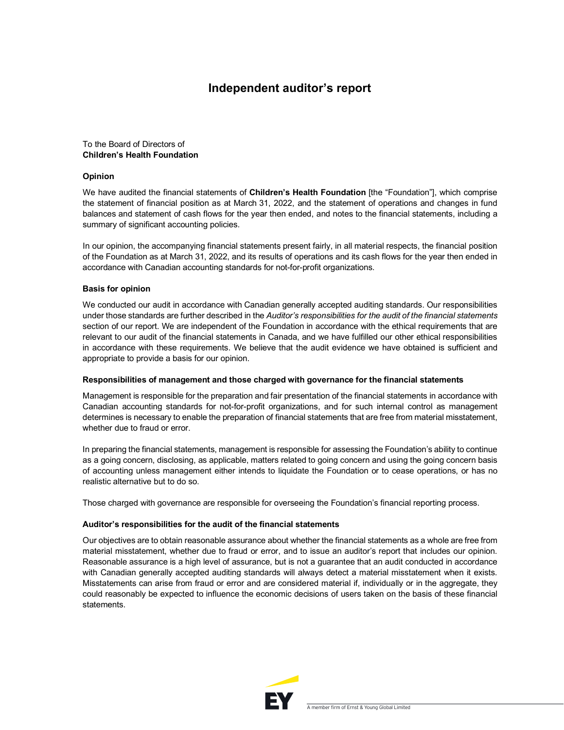### **Independent auditor's report**

To the Board of Directors of **Children's Health Foundation**

### **Opinion**

We have audited the financial statements of **Children's Health Foundation** [the "Foundation"], which comprise the statement of financial position as at March 31, 2022, and the statement of operations and changes in fund balances and statement of cash flows for the year then ended, and notes to the financial statements, including a summary of significant accounting policies.

In our opinion, the accompanying financial statements present fairly, in all material respects, the financial position of the Foundation as at March 31, 2022, and its results of operations and its cash flows for the year then ended in accordance with Canadian accounting standards for not-for-profit organizations.

#### **Basis for opinion**

We conducted our audit in accordance with Canadian generally accepted auditing standards. Our responsibilities under those standards are further described in the *Auditor's responsibilities for the audit of the financial statements*  section of our report. We are independent of the Foundation in accordance with the ethical requirements that are relevant to our audit of the financial statements in Canada, and we have fulfilled our other ethical responsibilities in accordance with these requirements. We believe that the audit evidence we have obtained is sufficient and appropriate to provide a basis for our opinion.

### **Responsibilities of management and those charged with governance for the financial statements**

Management is responsible for the preparation and fair presentation of the financial statements in accordance with Canadian accounting standards for not-for-profit organizations, and for such internal control as management determines is necessary to enable the preparation of financial statements that are free from material misstatement, whether due to fraud or error.

In preparing the financial statements, management is responsible for assessing the Foundation's ability to continue as a going concern, disclosing, as applicable, matters related to going concern and using the going concern basis of accounting unless management either intends to liquidate the Foundation or to cease operations, or has no realistic alternative but to do so.

Those charged with governance are responsible for overseeing the Foundation's financial reporting process.

### **Auditor's responsibilities for the audit of the financial statements**

Our objectives are to obtain reasonable assurance about whether the financial statements as a whole are free from material misstatement, whether due to fraud or error, and to issue an auditor's report that includes our opinion. Reasonable assurance is a high level of assurance, but is not a guarantee that an audit conducted in accordance with Canadian generally accepted auditing standards will always detect a material misstatement when it exists. Misstatements can arise from fraud or error and are considered material if, individually or in the aggregate, they could reasonably be expected to influence the economic decisions of users taken on the basis of these financial statements.

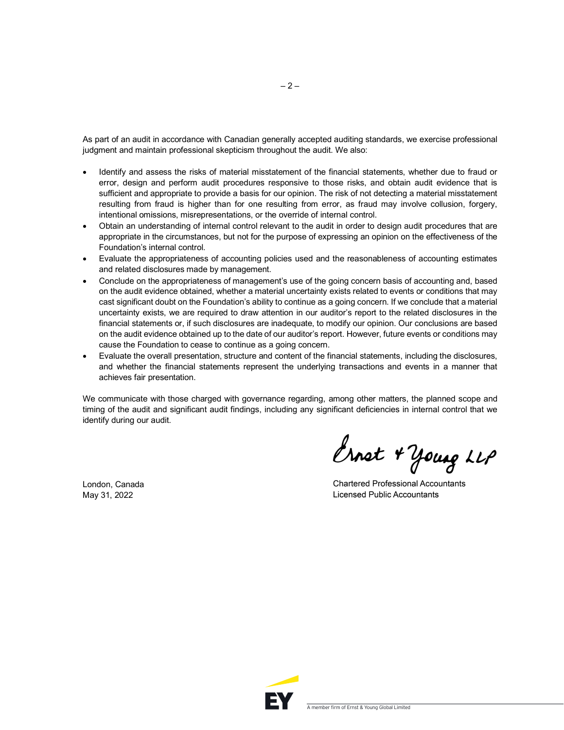As part of an audit in accordance with Canadian generally accepted auditing standards, we exercise professional judgment and maintain professional skepticism throughout the audit. We also:

- Identify and assess the risks of material misstatement of the financial statements, whether due to fraud or error, design and perform audit procedures responsive to those risks, and obtain audit evidence that is sufficient and appropriate to provide a basis for our opinion. The risk of not detecting a material misstatement resulting from fraud is higher than for one resulting from error, as fraud may involve collusion, forgery, intentional omissions, misrepresentations, or the override of internal control.
- Obtain an understanding of internal control relevant to the audit in order to design audit procedures that are appropriate in the circumstances, but not for the purpose of expressing an opinion on the effectiveness of the Foundation's internal control.
- Evaluate the appropriateness of accounting policies used and the reasonableness of accounting estimates and related disclosures made by management.
- Conclude on the appropriateness of management's use of the going concern basis of accounting and, based on the audit evidence obtained, whether a material uncertainty exists related to events or conditions that may cast significant doubt on the Foundation's ability to continue as a going concern. If we conclude that a material uncertainty exists, we are required to draw attention in our auditor's report to the related disclosures in the financial statements or, if such disclosures are inadequate, to modify our opinion. Our conclusions are based on the audit evidence obtained up to the date of our auditor's report. However, future events or conditions may cause the Foundation to cease to continue as a going concern.
- Evaluate the overall presentation, structure and content of the financial statements, including the disclosures, and whether the financial statements represent the underlying transactions and events in a manner that achieves fair presentation.

We communicate with those charged with governance regarding, among other matters, the planned scope and timing of the audit and significant audit findings, including any significant deficiencies in internal control that we identify during our audit.

London, Canada May 31, 2022

Crost + young LLP

**Chartered Professional Accountants** Licensed Public Accountants

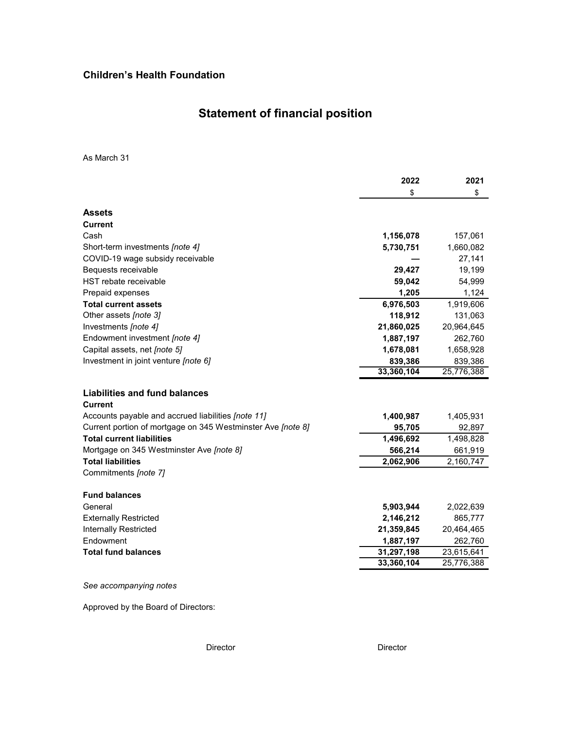# **Statement of financial position**

As March 31

|                                                             | 2022       | 2021       |
|-------------------------------------------------------------|------------|------------|
|                                                             | \$         | \$         |
| <b>Assets</b>                                               |            |            |
| <b>Current</b>                                              |            |            |
| Cash                                                        | 1,156,078  | 157,061    |
| Short-term investments <i>[note 4]</i>                      | 5,730,751  | 1,660,082  |
| COVID-19 wage subsidy receivable                            |            | 27,141     |
| Bequests receivable                                         | 29,427     | 19,199     |
| HST rebate receivable                                       | 59,042     | 54,999     |
| Prepaid expenses                                            | 1,205      | 1,124      |
| <b>Total current assets</b>                                 | 6,976,503  | 1,919,606  |
| Other assets [note 3]                                       | 118,912    | 131,063    |
| Investments [note 4]                                        | 21,860,025 | 20,964,645 |
| Endowment investment [note 4]                               | 1,887,197  | 262,760    |
| Capital assets, net [note 5]                                | 1,678,081  | 1,658,928  |
| Investment in joint venture [note 6]                        | 839,386    | 839,386    |
|                                                             | 33,360,104 | 25,776,388 |
| <b>Liabilities and fund balances</b>                        |            |            |
| Current                                                     |            |            |
| Accounts payable and accrued liabilities [note 11]          | 1,400,987  | 1,405,931  |
| Current portion of mortgage on 345 Westminster Ave [note 8] | 95,705     | 92,897     |
| <b>Total current liabilities</b>                            | 1,496,692  | 1,498,828  |
| Mortgage on 345 Westminster Ave [note 8]                    | 566,214    | 661,919    |
| <b>Total liabilities</b>                                    | 2,062,906  | 2,160,747  |
| Commitments [note 7]                                        |            |            |
| <b>Fund balances</b>                                        |            |            |
| General                                                     | 5,903,944  | 2,022,639  |
| <b>Externally Restricted</b>                                | 2,146,212  | 865,777    |
| Internally Restricted                                       | 21,359,845 | 20,464,465 |
| Endowment                                                   | 1,887,197  | 262,760    |
| <b>Total fund balances</b>                                  | 31,297,198 | 23,615,641 |
|                                                             | 33,360,104 | 25,776,388 |
|                                                             |            |            |

*See accompanying notes*

Approved by the Board of Directors: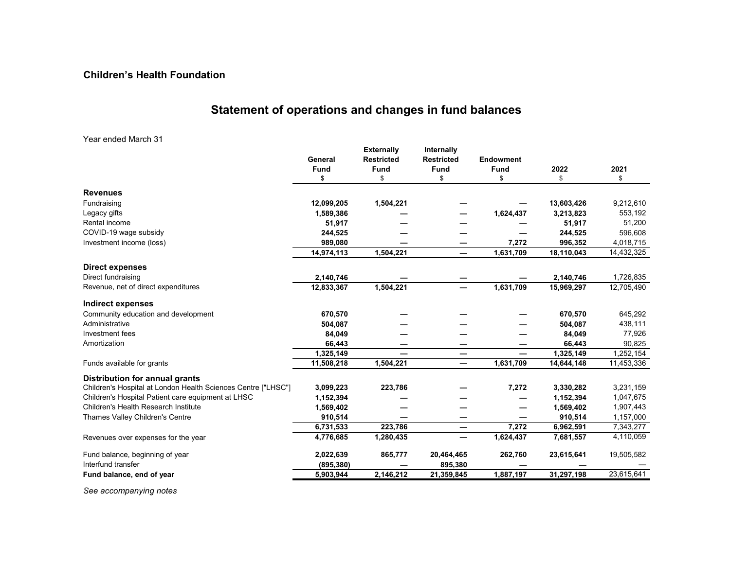# **Statement of operations and changes in fund balances**

Year ended March 31

|                                                               | General<br><b>Fund</b><br>\$ | <b>Externally</b><br><b>Restricted</b><br><b>Fund</b><br>\$ | Internally<br><b>Restricted</b><br><b>Fund</b><br>\$ | Endowment<br><b>Fund</b><br>\$ | 2022<br>\$ | 2021<br>\$ |
|---------------------------------------------------------------|------------------------------|-------------------------------------------------------------|------------------------------------------------------|--------------------------------|------------|------------|
| <b>Revenues</b>                                               |                              |                                                             |                                                      |                                |            |            |
| Fundraising                                                   | 12,099,205                   | 1,504,221                                                   |                                                      |                                | 13,603,426 | 9,212,610  |
| Legacy gifts                                                  | 1,589,386                    |                                                             |                                                      | 1,624,437                      | 3,213,823  | 553,192    |
| Rental income                                                 | 51,917                       |                                                             |                                                      |                                | 51,917     | 51,200     |
| COVID-19 wage subsidy                                         | 244,525                      |                                                             |                                                      |                                | 244,525    | 596,608    |
| Investment income (loss)                                      | 989,080                      |                                                             |                                                      | 7,272                          | 996,352    | 4,018,715  |
|                                                               | 14,974,113                   | 1,504,221                                                   | —                                                    | 1,631,709                      | 18,110,043 | 14,432,325 |
| <b>Direct expenses</b>                                        |                              |                                                             |                                                      |                                |            |            |
| Direct fundraising                                            | 2,140,746                    |                                                             |                                                      |                                | 2,140,746  | 1,726,835  |
| Revenue, net of direct expenditures                           | 12,833,367                   | 1,504,221                                                   |                                                      | 1,631,709                      | 15,969,297 | 12,705,490 |
| Indirect expenses                                             |                              |                                                             |                                                      |                                |            |            |
| Community education and development                           | 670,570                      |                                                             |                                                      |                                | 670,570    | 645,292    |
| Administrative                                                | 504,087                      |                                                             |                                                      |                                | 504,087    | 438,111    |
| Investment fees                                               | 84,049                       |                                                             |                                                      |                                | 84,049     | 77,926     |
| Amortization                                                  | 66,443                       |                                                             |                                                      |                                | 66,443     | 90,825     |
|                                                               | 1,325,149                    | -                                                           | —                                                    |                                | 1,325,149  | 1,252,154  |
| Funds available for grants                                    | 11,508,218                   | 1,504,221                                                   | —                                                    | 1,631,709                      | 14,644,148 | 11,453,336 |
| <b>Distribution for annual grants</b>                         |                              |                                                             |                                                      |                                |            |            |
| Children's Hospital at London Health Sciences Centre ["LHSC"] | 3,099,223                    | 223,786                                                     |                                                      | 7,272                          | 3,330,282  | 3,231,159  |
| Children's Hospital Patient care equipment at LHSC            | 1,152,394                    |                                                             |                                                      |                                | 1,152,394  | 1,047,675  |
| Children's Health Research Institute                          | 1,569,402                    |                                                             |                                                      |                                | 1,569,402  | 1,907,443  |
| Thames Valley Children's Centre                               | 910,514                      |                                                             |                                                      |                                | 910,514    | 1,157,000  |
|                                                               | 6,731,533                    | 223,786                                                     | —                                                    | 7,272                          | 6,962,591  | 7,343,277  |
| Revenues over expenses for the year                           | 4,776,685                    | 1,280,435                                                   | —                                                    | 1,624,437                      | 7,681,557  | 4,110,059  |
| Fund balance, beginning of year                               | 2,022,639                    | 865,777                                                     | 20,464,465                                           | 262,760                        | 23,615,641 | 19,505,582 |
| Interfund transfer                                            | (895, 380)                   |                                                             | 895,380                                              |                                |            |            |
| Fund balance, end of year                                     | 5,903,944                    | 2,146,212                                                   | 21,359,845                                           | 1,887,197                      | 31,297,198 | 23,615,641 |

*See accompanying notes*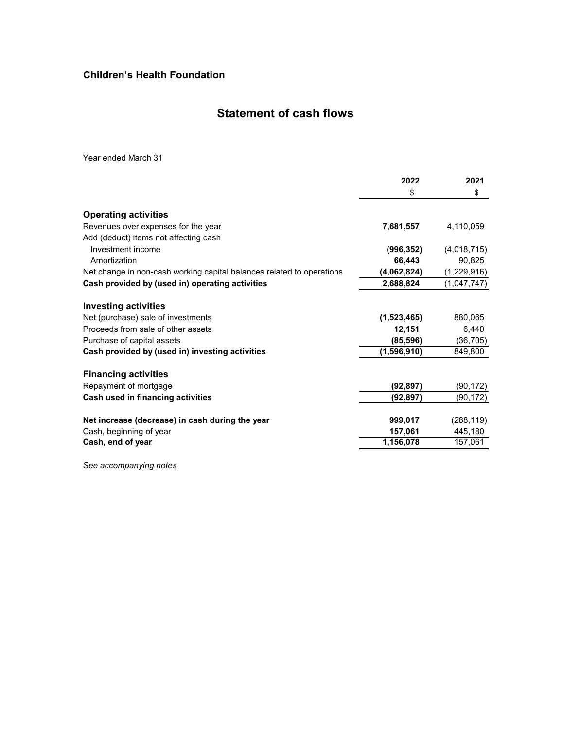## **Statement of cash flows**

Year ended March 31

|                                                                       | 2022        | 2021        |
|-----------------------------------------------------------------------|-------------|-------------|
|                                                                       | \$          | \$          |
| <b>Operating activities</b>                                           |             |             |
| Revenues over expenses for the year                                   | 7,681,557   | 4,110,059   |
| Add (deduct) items not affecting cash                                 |             |             |
| Investment income                                                     | (996, 352)  | (4,018,715) |
| Amortization                                                          | 66.443      | 90.825      |
| Net change in non-cash working capital balances related to operations | (4,062,824) | (1,229,916) |
| Cash provided by (used in) operating activities                       | 2,688,824   | (1,047,747) |
| Investing activities                                                  |             |             |
| Net (purchase) sale of investments                                    | (1,523,465) | 880,065     |
| Proceeds from sale of other assets                                    | 12,151      | 6,440       |
| Purchase of capital assets                                            | (85, 596)   | (36, 705)   |
| Cash provided by (used in) investing activities                       | (1,596,910) | 849,800     |
| <b>Financing activities</b>                                           |             |             |
| Repayment of mortgage                                                 | (92, 897)   | (90, 172)   |
| Cash used in financing activities                                     | (92, 897)   | (90, 172)   |
| Net increase (decrease) in cash during the year                       | 999,017     | (288, 119)  |
| Cash, beginning of year                                               | 157,061     | 445,180     |
| Cash, end of year                                                     | 1,156,078   | 157,061     |
|                                                                       |             |             |

*See accompanying notes*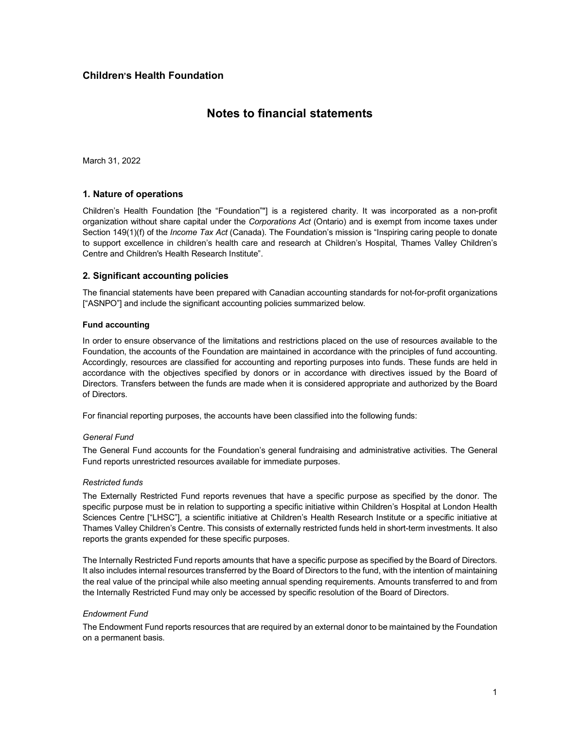### **Notes to financial statements**

March 31, 2022

### **1. Nature of operations**

Children's Health Foundation [the "Foundation""] is a registered charity. It was incorporated as a non-profit organization without share capital under the *Corporations Act* (Ontario) and is exempt from income taxes under Section 149(1)(f) of the *Income Tax Act* (Canada). The Foundation's mission is "Inspiring caring people to donate to support excellence in children's health care and research at Children's Hospital, Thames Valley Children's Centre and Children's Health Research Institute".

### **2. Significant accounting policies**

The financial statements have been prepared with Canadian accounting standards for not-for-profit organizations ["ASNPO"] and include the significant accounting policies summarized below.

### **Fund accounting**

In order to ensure observance of the limitations and restrictions placed on the use of resources available to the Foundation, the accounts of the Foundation are maintained in accordance with the principles of fund accounting. Accordingly, resources are classified for accounting and reporting purposes into funds. These funds are held in accordance with the objectives specified by donors or in accordance with directives issued by the Board of Directors. Transfers between the funds are made when it is considered appropriate and authorized by the Board of Directors.

For financial reporting purposes, the accounts have been classified into the following funds:

### *General Fund*

The General Fund accounts for the Foundation's general fundraising and administrative activities. The General Fund reports unrestricted resources available for immediate purposes.

### *Restricted funds*

The Externally Restricted Fund reports revenues that have a specific purpose as specified by the donor. The specific purpose must be in relation to supporting a specific initiative within Children's Hospital at London Health Sciences Centre ["LHSC"], a scientific initiative at Children's Health Research Institute or a specific initiative at Thames Valley Children's Centre. This consists of externally restricted funds held in short-term investments. It also reports the grants expended for these specific purposes.

The Internally Restricted Fund reports amounts that have a specific purpose as specified by the Board of Directors. It also includes internal resources transferred by the Board of Directors to the fund, with the intention of maintaining the real value of the principal while also meeting annual spending requirements. Amounts transferred to and from the Internally Restricted Fund may only be accessed by specific resolution of the Board of Directors.

### *Endowment Fund*

The Endowment Fund reports resources that are required by an external donor to be maintained by the Foundation on a permanent basis.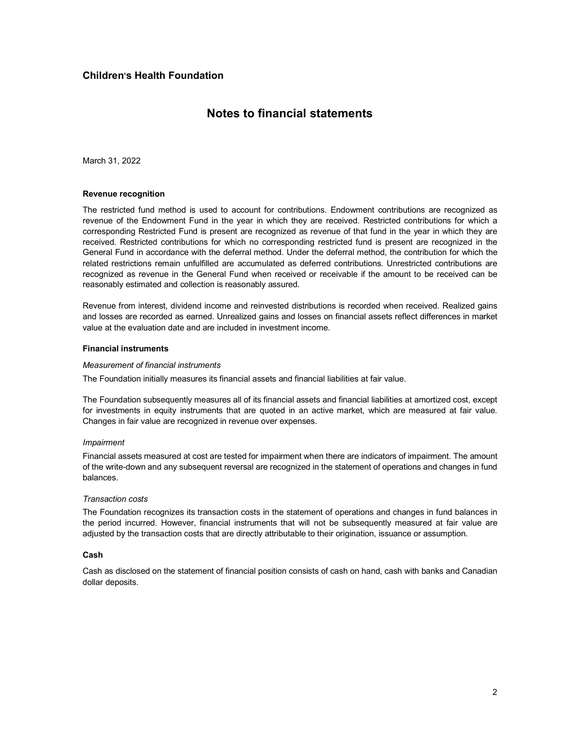### **Notes to financial statements**

March 31, 2022

#### **Revenue recognition**

The restricted fund method is used to account for contributions. Endowment contributions are recognized as revenue of the Endowment Fund in the year in which they are received. Restricted contributions for which a corresponding Restricted Fund is present are recognized as revenue of that fund in the year in which they are received. Restricted contributions for which no corresponding restricted fund is present are recognized in the General Fund in accordance with the deferral method. Under the deferral method, the contribution for which the related restrictions remain unfulfilled are accumulated as deferred contributions. Unrestricted contributions are recognized as revenue in the General Fund when received or receivable if the amount to be received can be reasonably estimated and collection is reasonably assured.

Revenue from interest, dividend income and reinvested distributions is recorded when received. Realized gains and losses are recorded as earned. Unrealized gains and losses on financial assets reflect differences in market value at the evaluation date and are included in investment income.

#### **Financial instruments**

#### *Measurement of financial instruments*

The Foundation initially measures its financial assets and financial liabilities at fair value.

The Foundation subsequently measures all of its financial assets and financial liabilities at amortized cost, except for investments in equity instruments that are quoted in an active market, which are measured at fair value. Changes in fair value are recognized in revenue over expenses.

### *Impairment*

Financial assets measured at cost are tested for impairment when there are indicators of impairment. The amount of the write-down and any subsequent reversal are recognized in the statement of operations and changes in fund balances.

#### *Transaction costs*

The Foundation recognizes its transaction costs in the statement of operations and changes in fund balances in the period incurred. However, financial instruments that will not be subsequently measured at fair value are adjusted by the transaction costs that are directly attributable to their origination, issuance or assumption.

### **Cash**

Cash as disclosed on the statement of financial position consists of cash on hand, cash with banks and Canadian dollar deposits.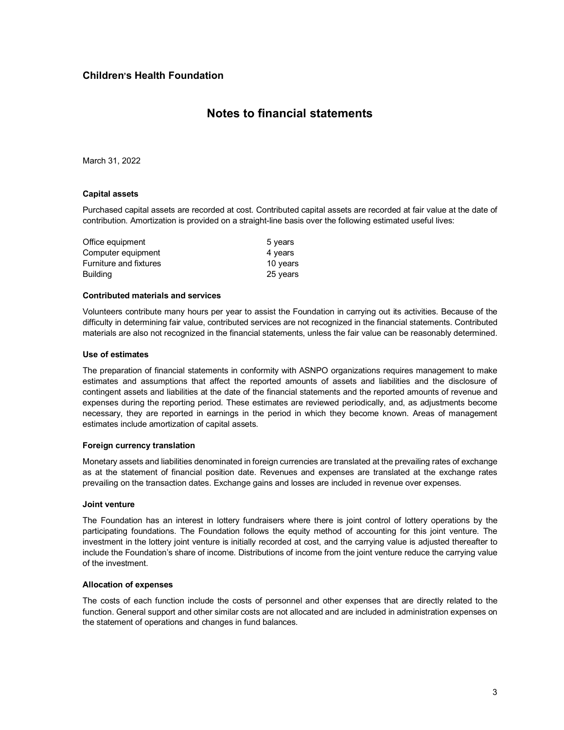### **Notes to financial statements**

March 31, 2022

#### **Capital assets**

Purchased capital assets are recorded at cost. Contributed capital assets are recorded at fair value at the date of contribution. Amortization is provided on a straight-line basis over the following estimated useful lives:

| Office equipment       | 5 years  |
|------------------------|----------|
| Computer equipment     | 4 years  |
| Furniture and fixtures | 10 years |
| <b>Building</b>        | 25 years |

### **Contributed materials and services**

Volunteers contribute many hours per year to assist the Foundation in carrying out its activities. Because of the difficulty in determining fair value, contributed services are not recognized in the financial statements. Contributed materials are also not recognized in the financial statements, unless the fair value can be reasonably determined.

#### **Use of estimates**

The preparation of financial statements in conformity with ASNPO organizations requires management to make estimates and assumptions that affect the reported amounts of assets and liabilities and the disclosure of contingent assets and liabilities at the date of the financial statements and the reported amounts of revenue and expenses during the reporting period. These estimates are reviewed periodically, and, as adjustments become necessary, they are reported in earnings in the period in which they become known. Areas of management estimates include amortization of capital assets.

### **Foreign currency translation**

Monetary assets and liabilities denominated in foreign currencies are translated at the prevailing rates of exchange as at the statement of financial position date. Revenues and expenses are translated at the exchange rates prevailing on the transaction dates. Exchange gains and losses are included in revenue over expenses.

#### **Joint venture**

The Foundation has an interest in lottery fundraisers where there is joint control of lottery operations by the participating foundations. The Foundation follows the equity method of accounting for this joint venture. The investment in the lottery joint venture is initially recorded at cost, and the carrying value is adjusted thereafter to include the Foundation's share of income. Distributions of income from the joint venture reduce the carrying value of the investment.

#### **Allocation of expenses**

The costs of each function include the costs of personnel and other expenses that are directly related to the function. General support and other similar costs are not allocated and are included in administration expenses on the statement of operations and changes in fund balances.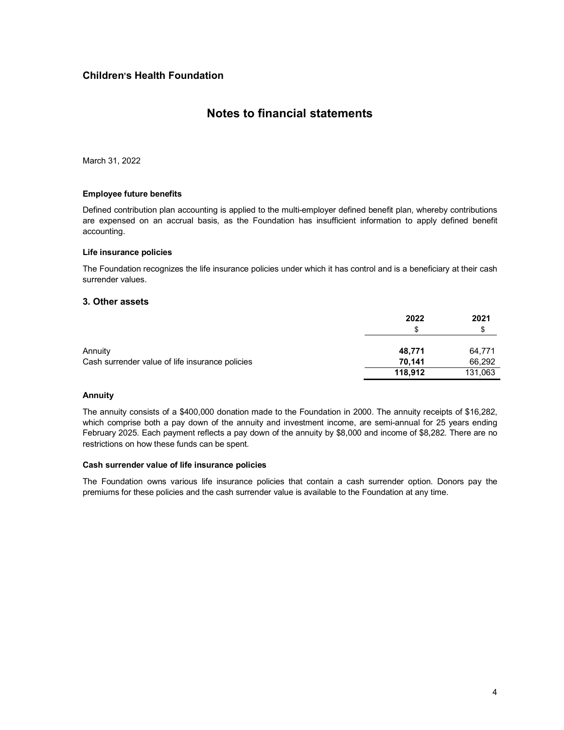### **Notes to financial statements**

March 31, 2022

### **Employee future benefits**

Defined contribution plan accounting is applied to the multi-employer defined benefit plan, whereby contributions are expensed on an accrual basis, as the Foundation has insufficient information to apply defined benefit accounting.

#### **Life insurance policies**

The Foundation recognizes the life insurance policies under which it has control and is a beneficiary at their cash surrender values.

### **3. Other assets**

|                                                 | 2022    | 2021    |
|-------------------------------------------------|---------|---------|
|                                                 | \$      | \$      |
| Annuity                                         | 48,771  | 64,771  |
| Cash surrender value of life insurance policies | 70.141  | 66,292  |
|                                                 | 118,912 | 131,063 |

### **Annuity**

The annuity consists of a \$400,000 donation made to the Foundation in 2000. The annuity receipts of \$16,282, which comprise both a pay down of the annuity and investment income, are semi-annual for 25 years ending February 2025. Each payment reflects a pay down of the annuity by \$8,000 and income of \$8,282. There are no restrictions on how these funds can be spent.

#### **Cash surrender value of life insurance policies**

The Foundation owns various life insurance policies that contain a cash surrender option. Donors pay the premiums for these policies and the cash surrender value is available to the Foundation at any time.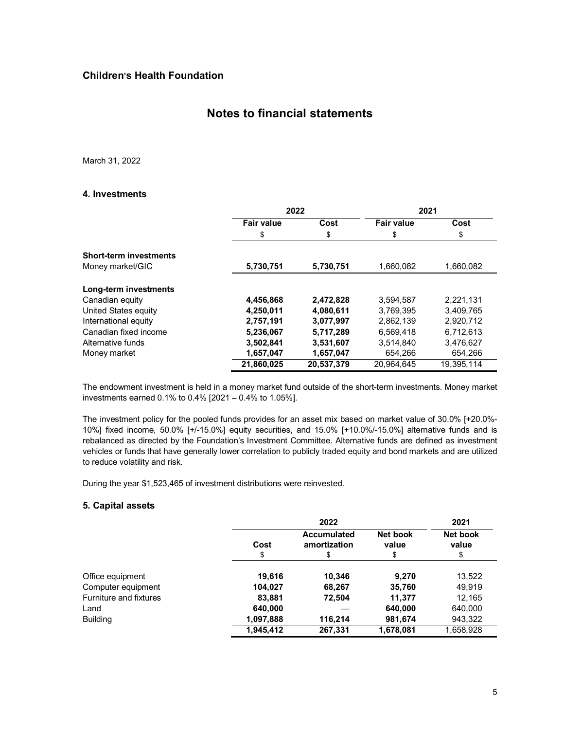### **Notes to financial statements**

March 31, 2022

### **4. Investments**

|                               |                   | 2022       |                   | 2021       |
|-------------------------------|-------------------|------------|-------------------|------------|
|                               | <b>Fair value</b> | Cost       | <b>Fair value</b> | Cost       |
|                               | \$                | \$         | \$                | \$         |
| <b>Short-term investments</b> |                   |            |                   |            |
| Money market/GIC              | 5,730,751         | 5,730,751  | 1,660,082         | 1,660,082  |
| Long-term investments         |                   |            |                   |            |
| Canadian equity               | 4,456,868         | 2,472,828  | 3,594,587         | 2,221,131  |
| United States equity          | 4,250,011         | 4,080,611  | 3.769.395         | 3.409.765  |
| International equity          | 2,757,191         | 3,077,997  | 2,862,139         | 2,920,712  |
| Canadian fixed income         | 5,236,067         | 5,717,289  | 6,569,418         | 6,712,613  |
| Alternative funds             | 3,502,841         | 3,531,607  | 3,514,840         | 3,476,627  |
| Money market                  | 1,657,047         | 1,657,047  | 654,266           | 654,266    |
|                               | 21,860,025        | 20,537,379 | 20,964,645        | 19,395,114 |

The endowment investment is held in a money market fund outside of the short-term investments. Money market investments earned 0.1% to 0.4% [2021 – 0.4% to 1.05%].

The investment policy for the pooled funds provides for an asset mix based on market value of 30.0% [+20.0%- 10%] fixed income, 50.0% [+/-15.0%] equity securities, and 15.0% [+10.0%/-15.0%] alternative funds and is rebalanced as directed by the Foundation's Investment Committee. Alternative funds are defined as investment vehicles or funds that have generally lower correlation to publicly traded equity and bond markets and are utilized to reduce volatility and risk.

During the year \$1,523,465 of investment distributions were reinvested.

### **5. Capital assets**

|                        |            | 2022                                     |                         | 2021                    |
|------------------------|------------|------------------------------------------|-------------------------|-------------------------|
|                        | Cost<br>\$ | <b>Accumulated</b><br>amortization<br>\$ | Net book<br>value<br>\$ | Net book<br>value<br>\$ |
| Office equipment       | 19,616     | 10,346                                   | 9,270                   | 13,522                  |
| Computer equipment     | 104,027    | 68,267                                   | 35,760                  | 49.919                  |
| Furniture and fixtures | 83,881     | 72,504                                   | 11,377                  | 12.165                  |
| Land                   | 640,000    |                                          | 640,000                 | 640.000                 |
| <b>Building</b>        | 1,097,888  | 116,214                                  | 981,674                 | 943,322                 |
|                        | 1,945,412  | 267.331                                  | 1,678,081               | 1,658,928               |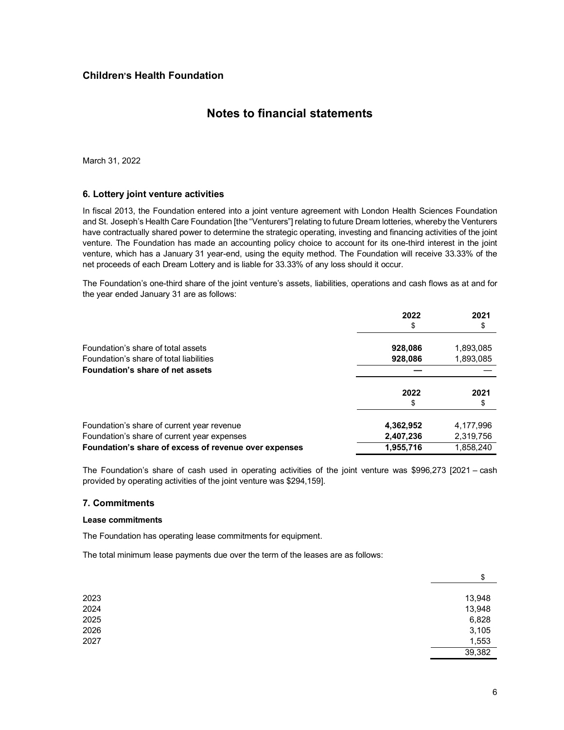### **Notes to financial statements**

March 31, 2022

### **6. Lottery joint venture activities**

In fiscal 2013, the Foundation entered into a joint venture agreement with London Health Sciences Foundation and St. Joseph's Health Care Foundation [the "Venturers"] relating to future Dream lotteries, whereby the Venturers have contractually shared power to determine the strategic operating, investing and financing activities of the joint venture. The Foundation has made an accounting policy choice to account for its one-third interest in the joint venture, which has a January 31 year-end, using the equity method. The Foundation will receive 33.33% of the net proceeds of each Dream Lottery and is liable for 33.33% of any loss should it occur.

The Foundation's one-third share of the joint venture's assets, liabilities, operations and cash flows as at and for the year ended January 31 are as follows:

|                                                                                           | 2022<br>S              | 2021<br>\$             |
|-------------------------------------------------------------------------------------------|------------------------|------------------------|
| Foundation's share of total assets<br>Foundation's share of total liabilities             | 928,086<br>928,086     | 1,893,085<br>1,893,085 |
| Foundation's share of net assets                                                          |                        |                        |
|                                                                                           | 2022                   | 2021<br>\$             |
| Foundation's share of current year revenue<br>Foundation's share of current year expenses | 4,362,952<br>2,407,236 | 4,177,996<br>2,319,756 |
| Foundation's share of excess of revenue over expenses                                     | 1,955,716              | 1.858.240              |

The Foundation's share of cash used in operating activities of the joint venture was \$996,273 [2021 – cash provided by operating activities of the joint venture was \$294,159].

### **7. Commitments**

### **Lease commitments**

The Foundation has operating lease commitments for equipment.

The total minimum lease payments due over the term of the leases are as follows:

|      | \$     |
|------|--------|
|      |        |
| 2023 | 13,948 |
| 2024 | 13,948 |
| 2025 | 6,828  |
| 2026 | 3,105  |
| 2027 | 1,553  |
|      | 39,382 |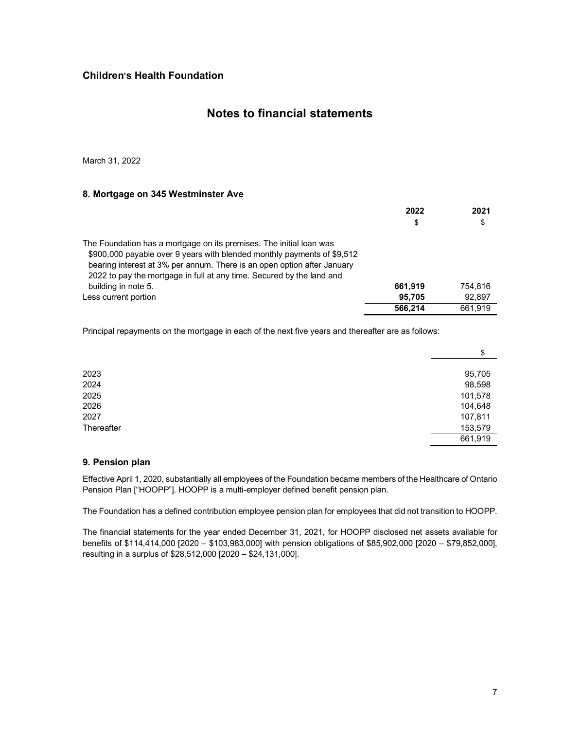### **Notes to financial statements**

March 31, 2022

### **8. Mortgage on 345 Westminster Ave**

|                                                                                                                                                                                                                                                                                                    | 2022    | 2021    |
|----------------------------------------------------------------------------------------------------------------------------------------------------------------------------------------------------------------------------------------------------------------------------------------------------|---------|---------|
|                                                                                                                                                                                                                                                                                                    | \$      | \$      |
| The Foundation has a mortgage on its premises. The initial loan was<br>\$900,000 payable over 9 years with blended monthly payments of \$9,512<br>bearing interest at 3% per annum. There is an open option after January<br>2022 to pay the mortgage in full at any time. Secured by the land and |         |         |
| building in note 5.                                                                                                                                                                                                                                                                                | 661,919 | 754.816 |
| Less current portion                                                                                                                                                                                                                                                                               | 95,705  | 92,897  |
|                                                                                                                                                                                                                                                                                                    | 566,214 | 661,919 |

Principal repayments on the mortgage in each of the next five years and thereafter are as follows:

|            | \$      |
|------------|---------|
| 2023       | 95,705  |
| 2024       | 98,598  |
| 2025       | 101,578 |
| 2026       | 104,648 |
| 2027       | 107,811 |
| Thereafter | 153,579 |
|            | 661,919 |

### **9. Pension plan**

Effective April 1, 2020, substantially all employees of the Foundation became members of the Healthcare of Ontario Pension Plan ["HOOPP"]. HOOPP is a multi-employer defined benefit pension plan.

The Foundation has a defined contribution employee pension plan for employees that did not transition to HOOPP.

The financial statements for the year ended December 31, 2021, for HOOPP disclosed net assets available for benefits of \$114,414,000 [2020 – \$103,983,000] with pension obligations of \$85,902,000 [2020 – \$79,852,000], resulting in a surplus of \$28,512,000 [2020 – \$24,131,000].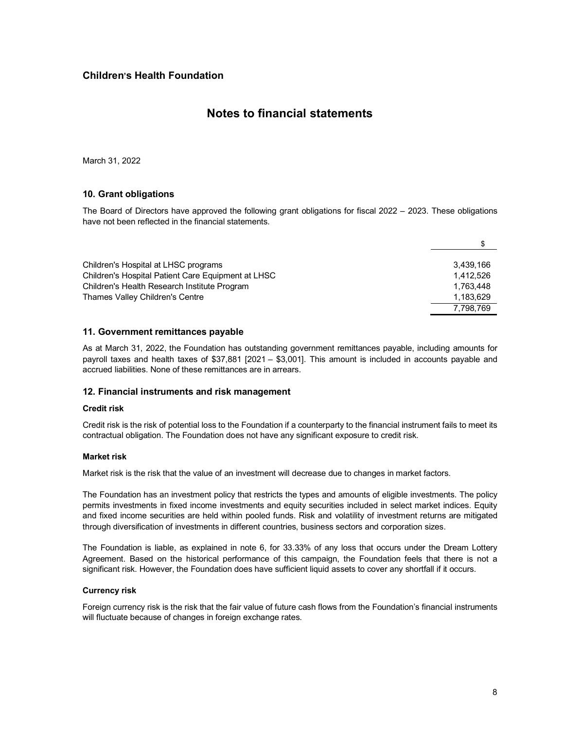### **Notes to financial statements**

March 31, 2022

### **10. Grant obligations**

The Board of Directors have approved the following grant obligations for fiscal 2022 – 2023. These obligations have not been reflected in the financial statements.

| Children's Hospital at LHSC programs               | 3,439,166 |
|----------------------------------------------------|-----------|
| Children's Hospital Patient Care Equipment at LHSC | 1.412.526 |
| Children's Health Research Institute Program       | 1,763,448 |
| Thames Valley Children's Centre                    | 1,183,629 |
|                                                    | 7,798,769 |

### **11. Government remittances payable**

As at March 31, 2022, the Foundation has outstanding government remittances payable, including amounts for payroll taxes and health taxes of \$37,881 [2021 – \$3,001]. This amount is included in accounts payable and accrued liabilities. None of these remittances are in arrears.

### **12. Financial instruments and risk management**

### **Credit risk**

Credit risk is the risk of potential loss to the Foundation if a counterparty to the financial instrument fails to meet its contractual obligation. The Foundation does not have any significant exposure to credit risk.

#### **Market risk**

Market risk is the risk that the value of an investment will decrease due to changes in market factors.

The Foundation has an investment policy that restricts the types and amounts of eligible investments. The policy permits investments in fixed income investments and equity securities included in select market indices. Equity and fixed income securities are held within pooled funds. Risk and volatility of investment returns are mitigated through diversification of investments in different countries, business sectors and corporation sizes.

The Foundation is liable, as explained in note 6, for 33.33% of any loss that occurs under the Dream Lottery Agreement. Based on the historical performance of this campaign, the Foundation feels that there is not a significant risk. However, the Foundation does have sufficient liquid assets to cover any shortfall if it occurs.

### **Currency risk**

Foreign currency risk is the risk that the fair value of future cash flows from the Foundation's financial instruments will fluctuate because of changes in foreign exchange rates.